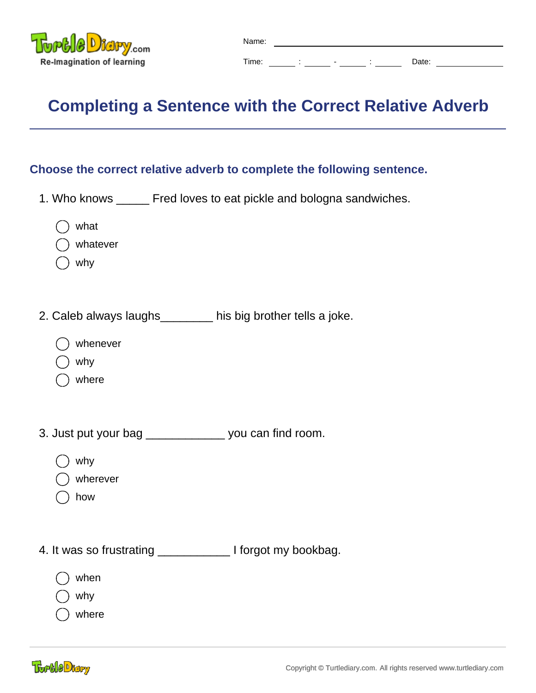

## **Completing a Sentence with the Correct Relative Adverb**

## **Choose the correct relative adverb to complete the following sentence.**

- 1. Who knows \_\_\_\_\_ Fred loves to eat pickle and bologna sandwiches.
	- what
	- whatever
	- why
- 2. Caleb always laughs\_\_\_\_\_\_\_\_ his big brother tells a joke.
	- whenever
	- why
	- where
- 3. Just put your bag \_\_\_\_\_\_\_\_\_\_\_\_ you can find room.
	- why
	- wherever
	- how
- 4. It was so frustrating \_\_\_\_\_\_\_\_\_\_\_ I forgot my bookbag.
	- when
	- why
	- where

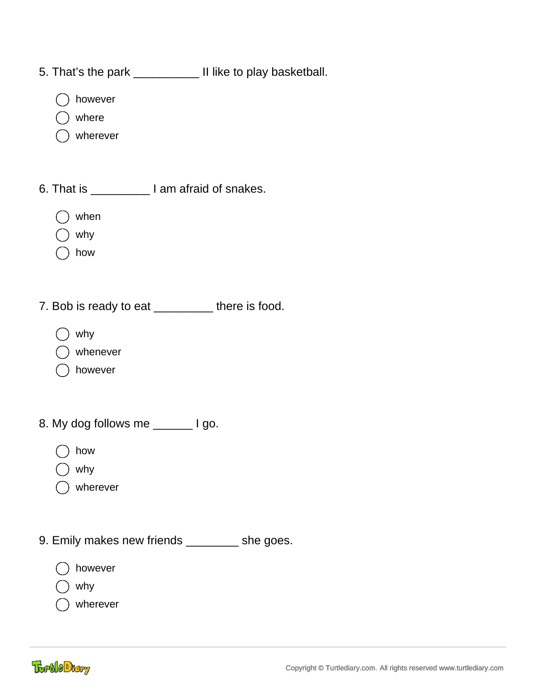- 5. That's the park \_\_\_\_\_\_\_\_\_\_ II like to play basketball.
	- however
	- where
	- wherever
- 6. That is \_\_\_\_\_\_\_\_\_ I am afraid of snakes.
	- when
	- why
	- how
- 7. Bob is ready to eat \_\_\_\_\_\_\_\_\_ there is food.
	- why
	- whenever
	- however
- 8. My dog follows me \_\_\_\_\_\_\_ I go.
	- how
	- why
	- wherever
- 9. Emily makes new friends \_\_\_\_\_\_\_\_ she goes.
	- however
	- why
	- wherever

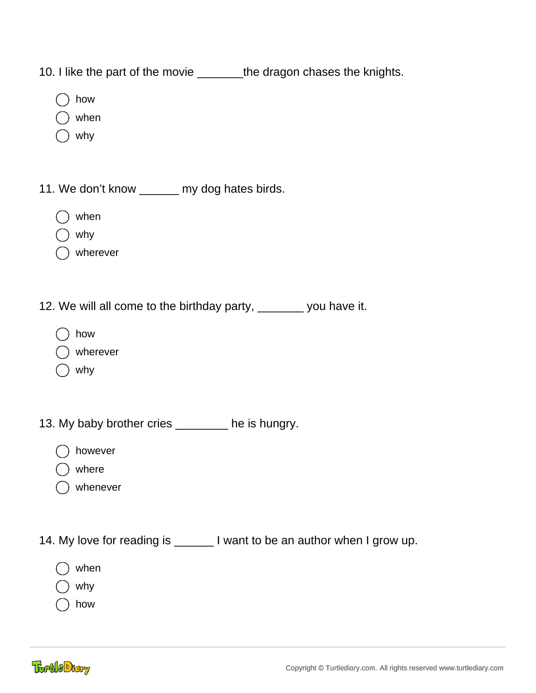10. I like the part of the movie \_\_\_\_\_\_\_\_the dragon chases the knights.

- how
- when
- why
- 11. We don't know \_\_\_\_\_\_ my dog hates birds.
	- when
	- why
	- wherever
- 12. We will all come to the birthday party, we say you have it.
	- how
	- wherever
	- why

13. My baby brother cries \_\_\_\_\_\_\_ he is hungry.

- however
- where
- whenever

14. My love for reading is \_\_\_\_\_\_\_ I want to be an author when I grow up.

- when
- why
- how